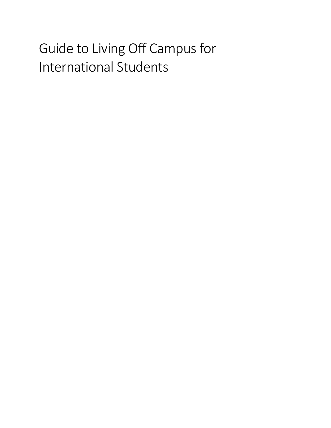# Guide to Living Off Campus for International Students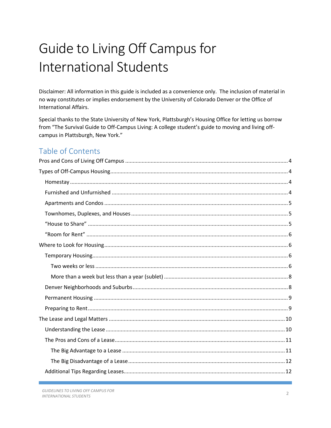# Guide to Living Off Campus for **International Students**

Disclaimer: All information in this guide is included as a convenience only. The inclusion of material in no way constitutes or implies endorsement by the University of Colorado Denver or the Office of International Affairs.

Special thanks to the State University of New York, Plattsburgh's Housing Office for letting us borrow from "The Survival Guide to Off-Campus Living: A college student's guide to moving and living offcampus in Plattsburgh, New York."

# Table of Contents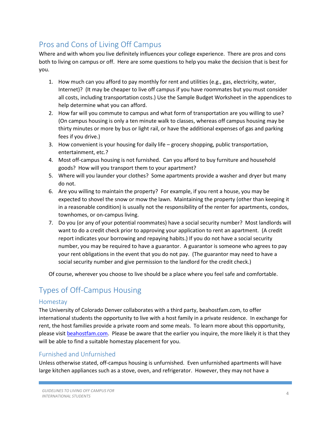# <span id="page-3-0"></span>Pros and Cons of Living Off Campus

Where and with whom you live definitely influences your college experience. There are pros and cons both to living on campus or off. Here are some questions to help you make the decision that is best for you.

- 1. How much can you afford to pay monthly for rent and utilities (e.g., gas, electricity, water, Internet)? (It may be cheaper to live off campus if you have roommates but you must consider all costs, including transportation costs.) Use the Sample Budget Worksheet in the appendices to help determine what you can afford.
- 2. How far will you commute to campus and what form of transportation are you willing to use? (On campus housing is only a ten minute walk to classes, whereas off campus housing may be thirty minutes or more by bus or light rail, or have the additional expenses of gas and parking fees if you drive.)
- 3. How convenient is your housing for daily life grocery shopping, public transportation, entertainment, etc.?
- 4. Most off-campus housing is not furnished. Can you afford to buy furniture and household goods? How will you transport them to your apartment?
- 5. Where will you launder your clothes? Some apartments provide a washer and dryer but many do not.
- 6. Are you willing to maintain the property? For example, if you rent a house, you may be expected to shovel the snow or mow the lawn. Maintaining the property (other than keeping it in a reasonable condition) is usually not the responsibility of the renter for apartments, condos, townhomes, or on-campus living.
- 7. Do you (or any of your potential roommates) have a social security number? Most landlords will want to do a credit check prior to approving your application to rent an apartment. (A credit report indicates your borrowing and repaying habits.) If you do not have a social security number, you may be required to have a guarantor. A guarantor is someone who agrees to pay your rent obligations in the event that you do not pay. (The guarantor may need to have a social security number and give permission to the landlord for the credit check.)

Of course, wherever you choose to live should be a place where you feel safe and comfortable.

# <span id="page-3-1"></span>Types of Off-Campus Housing

## <span id="page-3-2"></span>Homestay

The University of Colorado Denver collaborates with a third party, beahostfam.com, to offer international students the opportunity to live with a host family in a private residence. In exchange for rent, the host families provide a private room and some meals. To learn more about this opportunity, please visit [beahostfam.com.](http://www.beahostfam.com/) Please be aware that the earlier you inquire, the more likely it is that they will be able to find a suitable homestay placement for you.

## <span id="page-3-3"></span>Furnished and Unfurnished

Unless otherwise stated, off-campus housing is unfurnished. Even unfurnished apartments will have large kitchen appliances such as a stove, oven, and refrigerator. However, they may not have a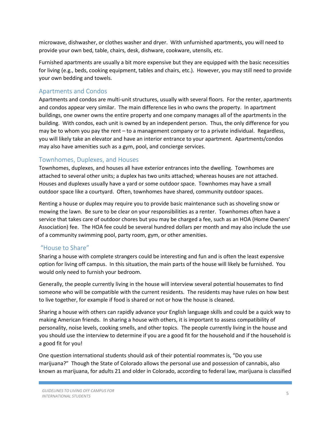microwave, dishwasher, or clothes washer and dryer. With unfurnished apartments, you will need to provide your own bed, table, chairs, desk, dishware, cookware, utensils, etc.

Furnished apartments are usually a bit more expensive but they are equipped with the basic necessities for living (e.g., beds, cooking equipment, tables and chairs, etc.). However, you may still need to provide your own bedding and towels.

#### <span id="page-4-0"></span>Apartments and Condos

Apartments and condos are multi-unit structures, usually with several floors. For the renter, apartments and condos appear very similar. The main difference lies in who owns the property. In apartment buildings, one owner owns the entire property and one company manages all of the apartments in the building. With condos, each unit is owned by an independent person. Thus, the only difference for you may be to whom you pay the rent – to a management company or to a private individual. Regardless, you will likely take an elevator and have an interior entrance to your apartment. Apartments/condos may also have amenities such as a gym, pool, and concierge services.

#### <span id="page-4-1"></span>Townhomes, Duplexes, and Houses

Townhomes, duplexes, and houses all have exterior entrances into the dwelling. Townhomes are attached to several other units; a duplex has two units attached; whereas houses are not attached. Houses and duplexes usually have a yard or some outdoor space. Townhomes may have a small outdoor space like a courtyard. Often, townhomes have shared, community outdoor spaces.

Renting a house or duplex may require you to provide basic maintenance such as shoveling snow or mowing the lawn. Be sure to be clear on your responsibilities as a renter. Townhomes often have a service that takes care of outdoor chores but you may be charged a fee, such as an HOA (Home Owners' Association) fee. The HOA fee could be several hundred dollars per month and may also include the use of a community swimming pool, party room, gym, or other amenities.

## <span id="page-4-2"></span>"House to Share"

Sharing a house with complete strangers could be interesting and fun and is often the least expensive option for living off campus. In this situation, the main parts of the house will likely be furnished. You would only need to furnish your bedroom.

Generally, the people currently living in the house will interview several potential housemates to find someone who will be compatible with the current residents. The residents may have rules on how best to live together, for example if food is shared or not or how the house is cleaned.

Sharing a house with others can rapidly advance your English language skills and could be a quick way to making American friends. In sharing a house with others, it is important to assess compatibility of personality, noise levels, cooking smells, and other topics. The people currently living in the house and you should use the interview to determine if you are a good fit for the household and if the household is a good fit for you!

One question international students should ask of their potential roommates is, "Do you use marijuana?" Though the State of Colorado allows the personal use and possession of cannabis, also known as marijuana, for adults 21 and older in Colorado, according to federal law, marijuana is classified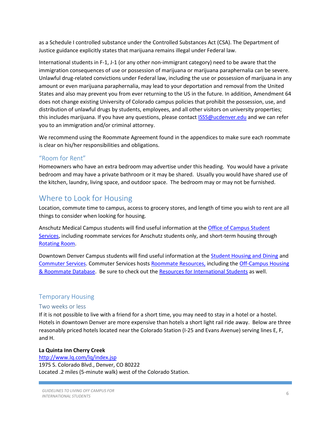as a Schedule I controlled substance under the Controlled Substances Act (CSA). The Department of Justice guidance explicitly states that marijuana remains illegal under Federal law.

International students in F-1, J-1 (or any other non-immigrant category) need to be aware that the immigration consequences of use or possession of marijuana or marijuana paraphernalia can be severe. Unlawful drug-related convictions under Federal law, including the use or possession of marijuana in any amount or even marijuana paraphernalia, may lead to your deportation and removal from the United States and also may prevent you from ever returning to the US in the future. In addition, Amendment 64 does not change existing University of Colorado campus policies that prohibit the possession, use, and distribution of unlawful drugs by students, employees, and all other visitors on university properties; this includes marijuana. If you have any questions, please contact [ISSS@ucdenver.edu](mailto:%20ISSS@ucdenver.edu) and we can refer you to an immigration and/or criminal attorney.

We recommend using the Roommate Agreement found in the appendices to make sure each roommate is clear on his/her responsibilities and obligations.

## <span id="page-5-0"></span>"Room for Rent"

Homeowners who have an extra bedroom may advertise under this heading. You would have a private bedroom and may have a private bathroom or it may be shared. Usually you would have shared use of the kitchen, laundry, living space, and outdoor space. The bedroom may or may not be furnished.

# <span id="page-5-1"></span>Where to Look for Housing

Location, commute time to campus, access to grocery stores, and length of time you wish to rent are all things to consider when looking for housing.

Anschutz Medical Campus students will find useful information at the [Office of Campus Student](http://www.ucdenver.edu/anschutz/studentresources/student-assistance/housing/Pages/home.aspx)  [Services,](http://www.ucdenver.edu/anschutz/studentresources/student-assistance/housing/Pages/home.aspx) including roommate services for Anschutz students only, and short-term housing through [Rotating Room.](http://rotatingroom.com/)

Downtown Denver Campus students will find useful information at the **Student Housing and Dining and** [Commuter Services.](http://www.ucdenver.edu/life/services/commuterservices/Pages/default.aspx) Commuter Services hosts [Roommate Resources,](http://www.ucdenver.edu/life/services/CommuterServices/Pages/Roommates.aspx) including the [Off-Campus Housing](https://offcampushousing.ucdenver.edu/)  [& Roommate Database.](https://offcampushousing.ucdenver.edu/) Be sure to check out th[e Resources for International Students](http://www.ucdenver.edu/life/services/CommuterServices/Pages/InternationalStudentHousing.aspx) as well.

## <span id="page-5-2"></span>Temporary Housing

#### <span id="page-5-3"></span>Two weeks or less

If it is not possible to live with a friend for a short time, you may need to stay in a hotel or a hostel. Hotels in downtown Denver are more expensive than hotels a short light rail ride away. Below are three reasonably priced hotels located near the Colorado Station (I-25 and Evans Avenue) serving lines E, F, and H.

#### **[La Quinta Inn Cherry Creek](http://www.lq.com/)**

<http://www.lq.com/lq/index.jsp> 1975 S. Colorado Blvd., Denver, CO 80222 Located .2 miles (5-minute walk) west of the Colorado Station.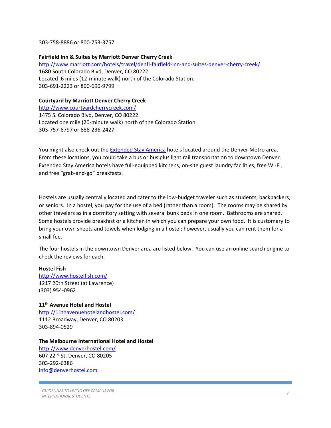303-758-8886 or 800-753-3757

#### **[Fairfield Inn & Suites by Marriott Denver Cherry Creek](http://www.marriott.com/meeting-event-hotels/group-corporate-travel/groupCorp.mi?resLinkData=University%20of%20Denver%5EDNU%60DENFI%60&app=resvlink&stop_mobi=yes)**

<http://www.marriott.com/hotels/travel/denfi-fairfield-inn-and-suites-denver-cherry-creek/> 1680 South Colorado Blvd, Denver, CO 80222 Located .6 miles (12-minute walk) north of the Colorado Station. 303-691-2223 or 800-690-9799

#### **Courtyard by Marriott Denver Cherry Creek**

<http://www.courtyardcherrycreek.com/> 1475 S. Colorado Blvd, Denver, CO 80222 Located one mile (20-minute walk) north of the Colorado Station. 303-757-8797 or 888-236-2427

You might also check out the [Extended Stay America](http://www.extendedstayamerica.com/) hotels located around the Denver Metro area. From these locations, you could take a bus or bus plus light rail transportation to downtown Denver. Extended Stay America hotels have full-equipped kitchens, on-site guest laundry facilities, free Wi-Fi, and free "grab-and-go" breakfasts.

Hostels are usually centrally located and cater to the low-budget traveler such as students, backpackers, or seniors. In a hostel, you pay for the use of a bed (rather than a room). The rooms may be shared by other travelers as in a dormitory setting with several bunk beds in one room. Bathrooms are shared. Some hostels provide breakfast or a kitchen in which you can prepare your own food. It is customary to bring your own sheets and towels when lodging in a hostel; however, usually you can rent them for a small fee.

The four hostels in the downtown Denver area are listed below. You can use an online search engine to check the reviews for each.

#### **Hostel Fish**  <http://www.hostelfish.com/> 1217 20th Street (at Lawrence) (303) 954-0962

#### **11th Avenue Hotel and Hostel**

<http://11thavenuehotelandhostel.com/> 1112 Broadway, Denver, CO 80203 303-894-0529

#### **The Melbourne International Hotel and Hostel**

<http://www.denverhostel.com/> 607 22nd St, Denver, CO 80205 303-292-6386 [info@denverhostel.com](mailto:info@denverhostel.com)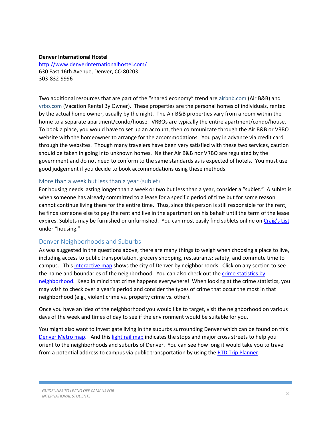#### **Denver International Hostel**

<http://www.denverinternationalhostel.com/> 630 East 16th Avenue, Denver, CO 80203 303-832-9996

Two additional resources that are part of the "shared economy" trend are [airbnb.com](https://www.airbnb.com/) (Air B&B) and [vrbo.com](http://www.vrbo.com/) (Vacation Rental By Owner). These properties are the personal homes of individuals, rented by the actual home owner, usually by the night. The Air B&B properties vary from a room within the home to a separate apartment/condo/house. VRBOs are typically the entire apartment/condo/house. To book a place, you would have to set up an account, then communicate through the Air B&B or VRBO website with the homeowner to arrange for the accommodations. You pay in advance via credit card through the websites. Though many travelers have been very satisfied with these two services, caution should be taken in going into unknown homes. Neither Air B&B nor VRBO are regulated by the government and do not need to conform to the same standards as is expected of hotels. You must use good judgement if you decide to book accommodations using these methods.

#### <span id="page-7-0"></span>More than a week but less than a year (sublet)

For housing needs lasting longer than a week or two but less than a year, consider a "sublet." A sublet is when someone has already committed to a lease for a specific period of time but for some reason cannot continue living there for the entire time. Thus, since this person is still responsible for the rent, he finds someone else to pay the rent and live in the apartment on his behalf until the term of the lease expires. Sublets may be furnished or unfurnished. You can most easily find sublets online on [Craig's List](http://denver.craigslist.org/) under "housing."

#### <span id="page-7-1"></span>Denver Neighborhoods and Suburbs

As was suggested in the questions above, there are many things to weigh when choosing a place to live, including access to public transportation, grocery shopping, restaurants; safety; and commute time to campus. This [interactive map](http://www.denvergov.org/maps/map/neighborhoods) shows the city of Denver by neighborhoods. Click on any section to see the name and boundaries of the neighborhood. You can also check out the crime statistics by [neighborhood.](http://www.denvergov.org/police/PoliceDepartment/CrimeInformation/CrimeMap/tabid/443033/Default.aspx) Keep in mind that crime happens everywhere! When looking at the crime statistics, you may wish to check over a year's period and consider the types of crime that occur the most in that neighborhood (e.g., violent crime vs. property crime vs. other).

Once you have an idea of the neighborhood you would like to target, visit the neighborhood on various days of the week and times of day to see if the environment would be suitable for you.

You might also want to investigate living in the suburbs surrounding Denver which can be found on this [Denver Metro map.](http://www.metrodenver.org/do-business/communities/) And thi[s light rail map](http://www.rtd-denver.com/LightRail_Map.shtml) indicates the stops and major cross streets to help you orient to the neighborhoods and suburbs of Denver. You can see how long it would take you to travel from a potential address to campus via public transportation by using th[e RTD Trip Planner.](http://www3.rtd-denver.com/tripplanner/start.action)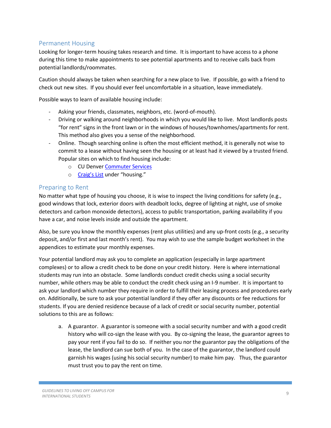## <span id="page-8-0"></span>Permanent Housing

Looking for longer-term housing takes research and time. It is important to have access to a phone during this time to make appointments to see potential apartments and to receive calls back from potential landlords/roommates.

Caution should always be taken when searching for a new place to live. If possible, go with a friend to check out new sites. If you should ever feel uncomfortable in a situation, leave immediately.

Possible ways to learn of available housing include:

- Asking your friends, classmates, neighbors, etc. (word-of-mouth).
- Driving or walking around neighborhoods in which you would like to live. Most landlords posts "for rent" signs in the front lawn or in the windows of houses/townhomes/apartments for rent. This method also gives you a sense of the neighborhood.
- Online. Though searching online is often the most efficient method, it is generally not wise to commit to a lease without having seen the housing or at least had it viewed by a trusted friend. Popular sites on which to find housing include:
	- o CU Denver [Commuter Services](http://www.ucdenver.edu/life/services/commuterservices/Pages/default.aspx)
	- o [Craig's List](http://denver.craigslist.org/) under "housing."

#### <span id="page-8-1"></span>Preparing to Rent

No matter what type of housing you choose, it is wise to inspect the living conditions for safety (e.g., good windows that lock, exterior doors with deadbolt locks, degree of lighting at night, use of smoke detectors and carbon monoxide detectors), access to public transportation, parking availability if you have a car, and noise levels inside and outside the apartment.

Also, be sure you know the monthly expenses (rent plus utilities) and any up-front costs (e.g., a security deposit, and/or first and last month's rent). You may wish to use the sample budget worksheet in the appendices to estimate your monthly expenses.

Your potential landlord may ask you to complete an application (especially in large apartment complexes) or to allow a credit check to be done on your credit history. Here is where international students may run into an obstacle. Some landlords conduct credit checks using a social security number, while others may be able to conduct the credit check using an I-9 number. It is important to ask your landlord which number they require in order to fulfill their leasing process and procedures early on. Additionally, be sure to ask your potential landlord if they offer any discounts or fee reductions for students. If you are denied residence because of a lack of credit or social security number, potential solutions to this are as follows:

a. A guarantor. A guarantor is someone with a social security number and with a good credit history who will co-sign the lease with you. By co-signing the lease, the guarantor agrees to pay your rent if you fail to do so. If neither you nor the guarantor pay the obligations of the lease, the landlord can sue both of you. In the case of the guarantor, the landlord could garnish his wages (using his social security number) to make him pay. Thus, the guarantor must trust you to pay the rent on time.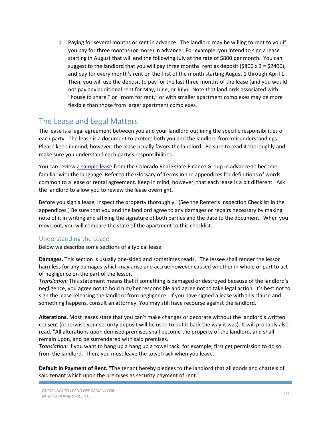b. Paying for several months or rent in advance. The landlord may be willing to rent to you if you pay for three months (or more) in advance. For example, you intend to sign a lease starting in August that will end the following July at the rate of \$800 per month. You can suggest to the landlord that you will pay three months' rent as deposit (\$800 x 3 = \$2400), and pay for every month's rent on the first of the month starting August 1 through April 1. Then, you will use the deposit to pay for the last three months of the lease (and you would not pay any additional rent for May, June, or July). Note that landlords associated with "house to share," or "room for rent," or with smaller apartment complexes may be more flexible than those from larger apartment complexes.

## <span id="page-9-0"></span>The Lease and Legal Matters

The lease is a legal agreement between you and your landlord outlining the specific responsibilities of each party. The lease is a document to protect both you and the landlord from misunderstandings. Please keep in mind, however, the lease usually favors the landlord. Be sure to read it thoroughly and make sure you understand each party's responsibilities.

You can review [a sample lease](http://www.corefinancegroup.com/docs/Colorado%20Residential%20Lease%20Agreement.pdf) from the Colorado Real Estate Finance Group in advance to become familiar with the language. Refer to the Glossary of Terms in the appendices for definitions of words common to a lease or rental agreement. Keep in mind, however, that each lease is a bit different. Ask the landlord to allow you to review the lease overnight.

Before you sign a lease, inspect the property thoroughly. (See the Renter's Inspection Checklist in the appendices.) Be sure that you and the landlord agree to any damages or repairs necessary by making note of it in writing and affixing the signature of both parties and the date to the document. When you move out, you will compare the state of the apartment to this checklist.

## <span id="page-9-1"></span>Understanding the Lease

Below we describe some sections of a typical lease.

**Damages.** This section is usually one-sided and sometimes reads, "The lessee shall render the lessor harmless for any damages which may arise and accrue however caused whether in whole or part to act of negligence on the part of the lessor."

*Translation:* This statement means that if something is damaged or destroyed because of the landlord's negligence, you agree not to hold him/her responsible and agree not to take legal action. It's best not to sign the lease releasing the landlord from negligence. If you have signed a lease with this clause and something happens, consult an attorney. You may still have recourse against the landlord.

**Alterations.** Most leases state that you can't make changes or decorate without the landlord's written consent (otherwise your security deposit will be used to put it back the way it was). It will probably also read, "All alterations upon demised premises shall become the property of the landlord, and shall remain upon, and be surrendered with said premises."

*Translation:* If you want to hang up a hang up a towel rack, for example, first get permission to do so from the landlord. Then, you must leave the towel rack when you leave.

**Default in Payment of Rent.** "The tenant hereby pledges to the landlord that all goods and chattels of said tenant which upon the premises as security payment of rent."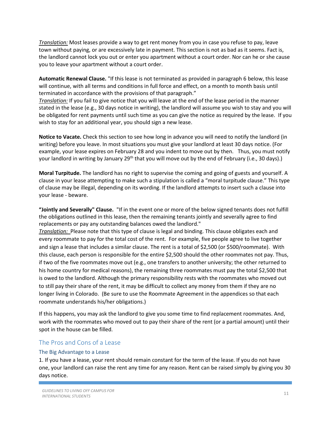*Translation:* Most leases provide a way to get rent money from you in case you refuse to pay, leave town without paying, or are excessively late in payment. This section is not as bad as it seems. Fact is, the landlord cannot lock you out or enter you apartment without a court order. Nor can he or she cause you to leave your apartment without a court order.

**Automatic Renewal Clause.** "If this lease is not terminated as provided in paragraph 6 below, this lease will continue, with all terms and conditions in full force and effect, on a month to month basis until terminated in accordance with the provisions of that paragraph."

*Translation:* If you fail to give notice that you will leave at the end of the lease period in the manner stated in the lease (e.g., 30 days notice in writing), the landlord will assume you wish to stay and you will be obligated for rent payments until such time as you can give the notice as required by the lease. If you wish to stay for an additional year, you should sign a new lease.

**Notice to Vacate.** Check this section to see how long in advance you will need to notify the landlord (in writing) before you leave. In most situations you must give your landlord at least 30 days notice. (For example, your lease expires on February 28 and you indent to move out by then. Thus, you must notify your landlord in writing by January 29<sup>th</sup> that you will move out by the end of February (i.e., 30 days).)

**Moral Turpitude.** The landlord has no right to supervise the coming and going of guests and yourself. A clause in your lease attempting to make such a stipulation is called a "moral turpitude clause." This type of clause may be illegal, depending on its wording. If the landlord attempts to insert such a clause into your lease - beware.

**"Jointly and Severally" Clause.** "If in the event one or more of the below signed tenants does not fulfill the obligations outlined in this lease, then the remaining tenants jointly and severally agree to find replacements or pay any outstanding balances owed the landlord."

*Translation:* Please note that this type of clause is legal and binding. This clause obligates each and every roommate to pay for the total cost of the rent. For example, five people agree to live together and sign a lease that includes a similar clause. The rent is a total of \$2,500 (or \$500/roommate). With this clause, each person is responsible for the entire \$2,500 should the other roommates not pay. Thus, if two of the five roommates move out (e.g., one transfers to another university; the other returned to his home country for medical reasons), the remaining three roommates must pay the total \$2,500 that is owed to the landlord. Although the primary responsibility rests with the roommates who moved out to still pay their share of the rent, it may be difficult to collect any money from them if they are no longer living in Colorado. (Be sure to use the Roommate Agreement in the appendices so that each roommate understands his/her obligations.)

If this happens, you may ask the landlord to give you some time to find replacement roommates. And, work with the roommates who moved out to pay their share of the rent (or a partial amount) until their spot in the house can be filled.

#### <span id="page-10-0"></span>The Pros and Cons of a Lease

#### <span id="page-10-1"></span>The Big Advantage to a Lease

1. If you have a lease, your rent should remain constant for the term of the lease. If you do not have one, your landlord can raise the rent any time for any reason. Rent can be raised simply by giving you 30 days notice.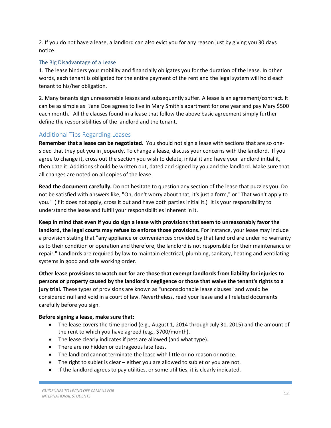2. If you do not have a lease, a landlord can also evict you for any reason just by giving you 30 days notice.

#### <span id="page-11-0"></span>The Big Disadvantage of a Lease

1. The lease hinders your mobility and financially obligates you for the duration of the lease. In other words, each tenant is obligated for the entire payment of the rent and the legal system will hold each tenant to his/her obligation.

2. Many tenants sign unreasonable leases and subsequently suffer. A lease is an agreement/contract. It can be as simple as "Jane Doe agrees to live in Mary Smith's apartment for one year and pay Mary \$500 each month." All the clauses found in a lease that follow the above basic agreement simply further define the responsibilities of the landlord and the tenant.

## <span id="page-11-1"></span>Additional Tips Regarding Leases

**Remember that a lease can be negotiated.** You should not sign a lease with sections that are so onesided that they put you in jeopardy. To change a lease, discuss your concerns with the landlord. If you agree to change it, cross out the section you wish to delete, initial it and have your landlord initial it, then date it. Additions should be written out, dated and signed by you and the landlord. Make sure that all changes are noted on all copies of the lease.

**Read the document carefully.** Do not hesitate to question any section of the lease that puzzles you. Do not be satisfied with answers like, "Oh, don't worry about that, it's just a form," or "That won't apply to you." (If it does not apply, cross it out and have both parties initial it.) It is your responsibility to understand the lease and fulfill your responsibilities inherent in it.

**Keep in mind that even if you do sign a lease with provisions that seem to unreasonably favor the landlord, the legal courts may refuse to enforce those provisions.** For instance, your lease may include a provision stating that "any appliance or conveniences provided by that landlord are under no warranty as to their condition or operation and therefore, the landlord is not responsible for their maintenance or repair." Landlords are required by law to maintain electrical, plumbing, sanitary, heating and ventilating systems in good and safe working order.

**Other lease provisions to watch out for are those that exempt landlords from liability for injuries to persons or property caused by the landlord's negligence or those that waive the tenant's rights to a jury trial.** These types of provisions are known as "unconscionable lease clauses" and would be considered null and void in a court of law. Nevertheless, read your lease and all related documents carefully before you sign.

#### **Before signing a lease, make sure that:**

- The lease covers the time period (e.g., August 1, 2014 through July 31, 2015) and the amount of the rent to which you have agreed (e.g., \$700/month).
- The lease clearly indicates if pets are allowed (and what type).
- There are no hidden or outrageous late fees.
- The landlord cannot terminate the lease with little or no reason or notice.
- The right to sublet is clear either you are allowed to sublet or you are not.
- If the landlord agrees to pay utilities, or some utilities, it is clearly indicated.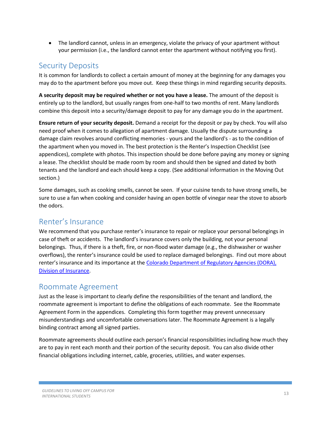The landlord cannot, unless in an emergency, violate the privacy of your apartment without your permission (i.e., the landlord cannot enter the apartment without notifying you first).

# <span id="page-12-0"></span>Security Deposits

It is common for landlords to collect a certain amount of money at the beginning for any damages you may do to the apartment before you move out. Keep these things in mind regarding security deposits.

**A security deposit may be required whether or not you have a lease.** The amount of the deposit is entirely up to the landlord, but usually ranges from one-half to two months of rent. Many landlords combine this deposit into a security/damage deposit to pay for any damage you do in the apartment.

**Ensure return of your security deposit.** Demand a receipt for the deposit or pay by check. You will also need proof when it comes to allegation of apartment damage. Usually the dispute surrounding a damage claim revolves around conflicting memories - yours and the landlord's - as to the condition of the apartment when you moved in. The best protection is the Renter's Inspection Checklist (see appendices), complete with photos. This inspection should be done before paying any money or signing a lease. The checklist should be made room by room and should then be signed and dated by both tenants and the landlord and each should keep a copy. (See additional information in the Moving Out section.)

Some damages, such as cooking smells, cannot be seen. If your cuisine tends to have strong smells, be sure to use a fan when cooking and consider having an open bottle of vinegar near the stove to absorb the odors.

# <span id="page-12-1"></span>Renter's Insurance

We recommend that you purchase renter's insurance to repair or replace your personal belongings in case of theft or accidents. The landlord's insurance covers only the building, not your personal belongings. Thus, if there is a theft, fire, or non-flood water damage (e.g., the dishwasher or washer overflows), the renter's insurance could be used to replace damaged belongings. Find out more about renter's insurance and its importance at the Colorado Department of Regulatory Agencies (DORA), [Division of Insurance.](http://cdn.colorado.gov/cs/Satellite/DORA-DI/CBON/DORA/1251623076535)

## <span id="page-12-2"></span>Roommate Agreement

Just as the lease is important to clearly define the responsibilities of the tenant and landlord, the roommate agreement is important to define the obligations of each roommate. See the Roommate Agreement Form in the appendices. Completing this form together may prevent unnecessary misunderstandings and uncomfortable conversations later. The Roommate Agreement is a legally binding contract among all signed parties.

Roommate agreements should outline each person's financial responsibilities including how much they are to pay in rent each month and their portion of the security deposit. You can also divide other financial obligations including internet, cable, groceries, utilities, and water expenses.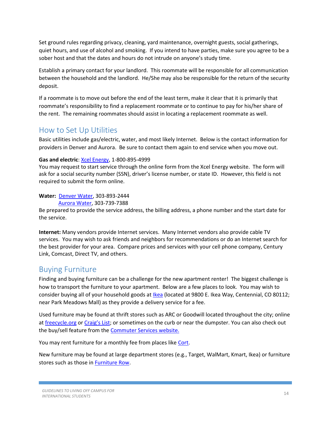Set ground rules regarding privacy, cleaning, yard maintenance, overnight guests, social gatherings, quiet hours, and use of alcohol and smoking. If you intend to have parties, make sure you agree to be a sober host and that the dates and hours do not intrude on anyone's study time.

Establish a primary contact for your landlord. This roommate will be responsible for all communication between the household and the landlord. He/She may also be responsible for the return of the security deposit.

If a roommate is to move out before the end of the least term, make it clear that it is primarily that roommate's responsibility to find a replacement roommate or to continue to pay for his/her share of the rent. The remaining roommates should assist in locating a replacement roommate as well.

# <span id="page-13-0"></span>How to Set Up Utilities

Basic utilities include gas/electric, water, and most likely Internet. Below is the contact information for providers in Denver and Aurora. Be sure to contact them again to end service when you move out.

#### **Gas and electric**: [Xcel Energy,](http://www.xcelenergy.com/) 1-800-895-4999

You may request to start service through the online form from the Xcel Energy website. The form will ask for a social security number (SSN), driver's license number, or state ID. However, this field is not required to submit the form online.

#### **Water:** [Denver Water,](http://denverwater.org/) 303-893-2444

[Aurora Water,](https://www.auroragov.org/LivingHere/Water/index.htm) 303-739-7388

Be prepared to provide the service address, the billing address, a phone number and the start date for the service.

**Internet:** Many vendors provide Internet services. Many Internet vendors also provide cable TV services. You may wish to ask friends and neighbors for recommendations or do an Internet search for the best provider for your area. Compare prices and services with your cell phone company, Century Link, Comcast, Direct TV, and others.

# <span id="page-13-1"></span>Buying Furniture

Finding and buying furniture can be a challenge for the new apartment renter! The biggest challenge is how to transport the furniture to your apartment. Below are a few places to look. You may wish to consider buying all of your household goods at [Ikea](http://www.ikea.com/us/en/) (located at 9800 E. Ikea Way, Centennial, CO 80112; near Park Meadows Mall) as they provide a delivery service for a fee.

Used furniture may be found at thrift stores such as ARC or Goodwill located throughout the city; online a[t freecycle.org](https://www.freecycle.org/) or [Craig](http://denver.craigslist.org/)'s List; or sometimes on the curb or near the dumpster. You can also check out the buy/sell feature from th[e Commuter Services](http://www.ucdenver.edu/life/services/commuterservices/Pages/default.aspx) website.

You may rent furniture for a monthly fee from places like [Cort.](https://www.cort.com/student)

New furniture may be found at large department stores (e.g., Target, WalMart, Kmart, Ikea) or furniture stores such as those in [Furniture Row.](http://www.furniturerow.com/)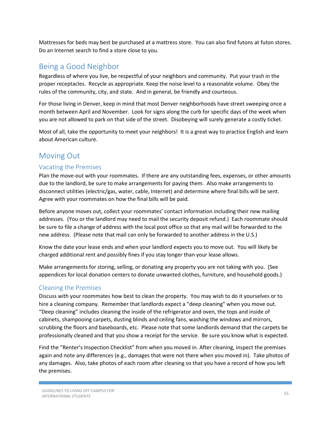Mattresses for beds may best be purchased at a mattress store. You can also find futons at futon stores. Do an Internet search to find a store close to you.

# <span id="page-14-0"></span>Being a Good Neighbor

Regardless of where you live, be respectful of your neighbors and community. Put your trash in the proper receptacles. Recycle as appropriate. Keep the noise level to a reasonable volume. Obey the rules of the community, city, and state. And in general, be friendly and courteous.

For those living in Denver, keep in mind that most Denver neighborhoods have street sweeping once a month between April and November. Look for signs along the curb for specific days of the week when you are not allowed to park on that side of the street. Disobeying will surely generate a costly ticket.

Most of all, take the opportunity to meet your neighbors! It is a great way to practice English and learn about American culture.

# <span id="page-14-1"></span>Moving Out

## <span id="page-14-2"></span>Vacating the Premises

Plan the move-out with your roommates. If there are any outstanding fees, expenses, or other amounts due to the landlord, be sure to make arrangements for paying them. Also make arrangements to disconnect utilities (electric/gas, water, cable, Internet) and determine where final bills will be sent. Agree with your roommates on how the final bills will be paid.

Before anyone moves out, collect your roommates' contact information including their new mailing addresses. (You or the landlord may need to mail the security deposit refund.) Each roommate should be sure to file a change of address with the local post office so that any mail will be forwarded to the new address. (Please note that mail can only be forwarded to another address in the U.S.)

Know the date your lease ends and when your landlord expects you to move out. You will likely be charged additional rent and possibly fines if you stay longer than your lease allows.

Make arrangements for storing, selling, or donating any property you are not taking with you. (See appendices for local donation centers to donate unwanted clothes, furniture, and household goods.)

## <span id="page-14-3"></span>Cleaning the Premises

Discuss with your roommates how best to clean the property. You may wish to do it yourselves or to hire a cleaning company. Remember that landlords expect a "deep cleaning" when you move out. "Deep cleaning" includes cleaning the inside of the refrigerator and oven, the tops and inside of cabinets, shampooing carpets, dusting blinds and ceiling fans, washing the windows and mirrors, scrubbing the floors and baseboards, etc. Please note that some landlords demand that the carpets be professionally cleaned and that you show a receipt for the service. Be sure you know what is expected.

Find the "Renter's Inspection Checklist" from when you moved in. After cleaning, inspect the premises again and note any differences (e.g., damages that were not there when you moved in). Take photos of any damages. Also, take photos of each room after cleaning so that you have a record of how you left the premises.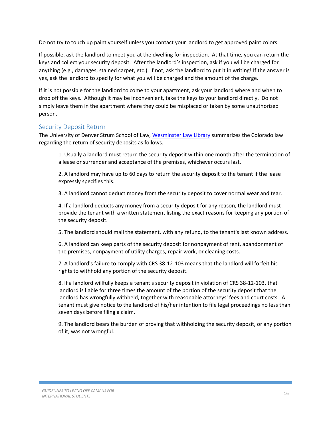Do not try to touch up paint yourself unless you contact your landlord to get approved paint colors.

If possible, ask the landlord to meet you at the dwelling for inspection. At that time, you can return the keys and collect your security deposit. After the landlord's inspection, ask if you will be charged for anything (e.g., damages, stained carpet, etc.). If not, ask the landlord to put it in writing! If the answer is yes, ask the landlord to specify for what you will be charged and the amount of the charge.

If it is not possible for the landlord to come to your apartment, ask your landlord where and when to drop off the keys. Although it may be inconvenient, take the keys to your landlord directly. Do not simply leave them in the apartment where they could be misplaced or taken by some unauthorized person.

## <span id="page-15-0"></span>Security Deposit Return

The University of Denver Strum School of Law[, Wesminster Law Library](http://libguides.law.du.edu/content.php?pid=131644&sid=1132053) summarizes the Colorado law regarding the return of security deposits as follows.

1. Usually a landlord must return the security deposit within one month after the termination of a lease or surrender and acceptance of the premises, whichever occurs last.

2. A landlord may have up to 60 days to return the security deposit to the tenant if the lease expressly specifies this.

3. A landlord cannot deduct money from the security deposit to cover normal wear and tear.

4. If a landlord deducts any money from a security deposit for any reason, the landlord must provide the tenant with a written statement listing the exact reasons for keeping any portion of the security deposit.

5. The landlord should mail the statement, with any refund, to the tenant's last known address.

6. A landlord can keep parts of the security deposit for nonpayment of rent, abandonment of the premises, nonpayment of utility charges, repair work, or cleaning costs.

7. A landlord's failure to comply with CRS 38-12-103 means that the landlord will forfeit his rights to withhold any portion of the security deposit.

8. If a landlord willfully keeps a tenant's security deposit in violation of CRS 38-12-103, that landlord is liable for three times the amount of the portion of the security deposit that the landlord has wrongfully withheld, together with reasonable attorneys' fees and court costs. A tenant must give notice to the landlord of his/her intention to file legal proceedings no less than seven days before filing a claim.

9. The landlord bears the burden of proving that withholding the security deposit, or any portion of it, was not wrongful.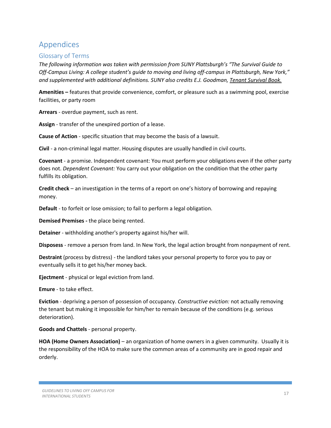# <span id="page-16-0"></span>Appendices

## <span id="page-16-1"></span>Glossary of Terms

*The following information was taken with permission from SUNY Plattsburgh's "The Survival Guide to Off-Campus Living: A college student's guide to moving and living off-campus in Plattsburgh, New York," and supplemented with additional definitions. SUNY also credits E.J. Goodman, Tenant Survival Book.*

**Amenities –** features that provide convenience, comfort, or pleasure such as a swimming pool, exercise facilities, or party room

**Arrears** - overdue payment, such as rent.

**Assign** - transfer of the unexpired portion of a lease.

**Cause of Action** - specific situation that may become the basis of a lawsuit.

**Civil** - a non-criminal legal matter. Housing disputes are usually handled in civil courts.

**Covenant** - a promise. Independent covenant: You must perform your obligations even if the other party does not. *Dependent Covenant:* You carry out your obligation on the condition that the other party fulfills its obligation.

**Credit check** – an investigation in the terms of a report on one's history of borrowing and repaying money.

**Default** - to forfeit or lose omission; to fail to perform a legal obligation.

**Demised Premises -** the place being rented.

**Detainer** - withholding another's property against his/her will.

**Disposess** - remove a person from land. In New York, the legal action brought from nonpayment of rent.

**Destraint** (process by distress) - the landlord takes your personal property to force you to pay or eventually sells it to get his/her money back.

**Ejectment** - physical or legal eviction from land.

**Emure** - to take effect.

**Eviction** - depriving a person of possession of occupancy. *Constructive eviction:* not actually removing the tenant but making it impossible for him/her to remain because of the conditions (e.g. serious deterioration).

**Goods and Chattels** - personal property.

**HOA (Home Owners Association)** – an organization of home owners in a given community. Usually it is the responsibility of the HOA to make sure the common areas of a community are in good repair and orderly.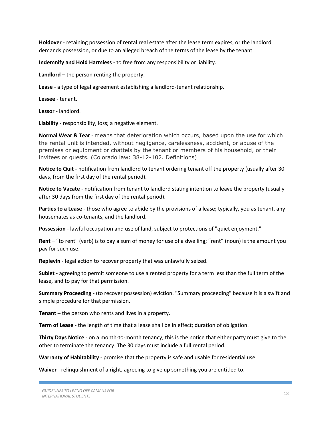**Holdover** - retaining possession of rental real estate after the lease term expires, or the landlord demands possession, or due to an alleged breach of the terms of the lease by the tenant.

**Indemnify and Hold Harmless** - to free from any responsibility or liability.

**Landlord** – the person renting the property.

**Lease** - a type of legal agreement establishing a landlord-tenant relationship.

**Lessee** - tenant.

**Lessor** - landlord.

**Liability** - responsibility, loss; a negative element.

**Normal Wear & Tear** - means that deterioration which occurs, based upon the use for which the rental unit is intended, without negligence, carelessness, accident, or abuse of the premises or equipment or chattels by the tenant or members of his household, or their invitees or guests. (Colorado law: 38-12-102. Definitions)

**Notice to Quit** - notification from landlord to tenant ordering tenant off the property (usually after 30 days, from the first day of the rental period).

**Notice to Vacate** - notification from tenant to landlord stating intention to leave the property (usually after 30 days from the first day of the rental period).

**Parties to a Lease** - those who agree to abide by the provisions of a lease; typically, you as tenant, any housemates as co-tenants, and the landlord.

**Possession** - lawful occupation and use of land, subject to protections of "quiet enjoyment."

**Rent** – "to rent" (verb) is to pay a sum of money for use of a dwelling; "rent" (noun) is the amount you pay for such use.

**Replevin** - legal action to recover property that was unlawfully seized.

**Sublet** - agreeing to permit someone to use a rented property for a term less than the full term of the lease, and to pay for that permission.

**Summary Proceeding** - (to recover possession) eviction. "Summary proceeding" because it is a swift and simple procedure for that permission.

**Tenant** – the person who rents and lives in a property.

**Term of Lease** - the length of time that a lease shall be in effect; duration of obligation.

**Thirty Days Notice** - on a month-to-month tenancy, this is the notice that either party must give to the other to terminate the tenancy. The 30 days must include a full rental period.

**Warranty of Habitability** - promise that the property is safe and usable for residential use.

**Waiver** - relinquishment of a right, agreeing to give up something you are entitled to.